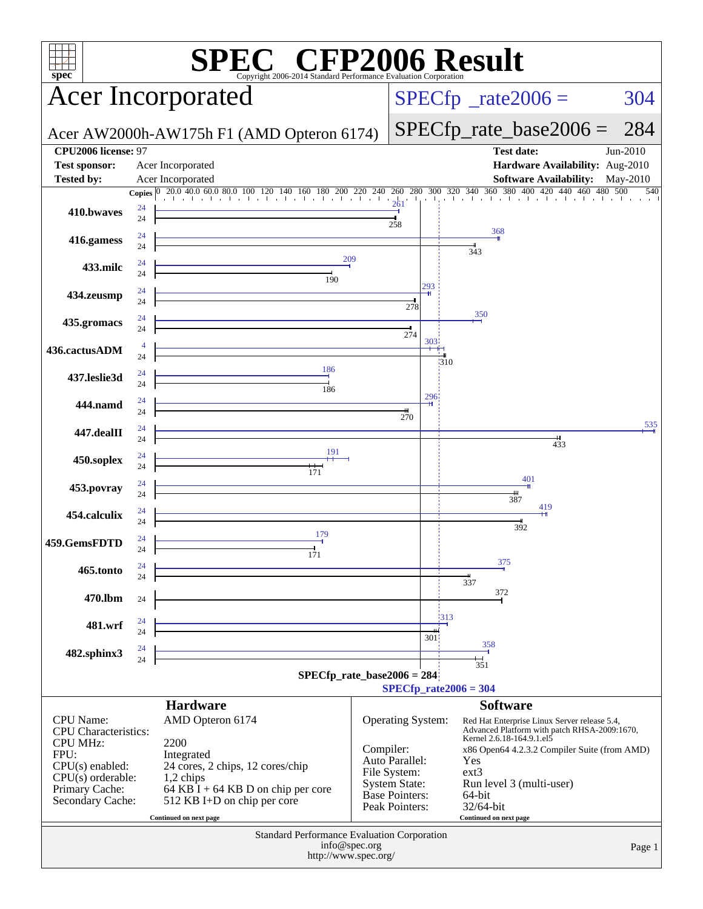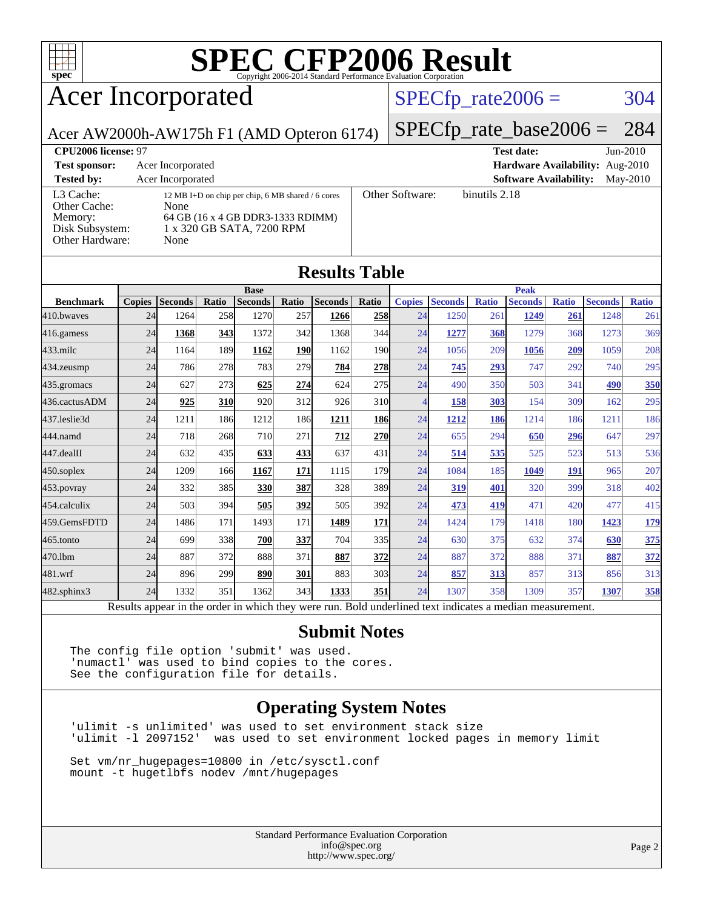

# Acer Incorporated

### $SPECTp_rate2006 = 304$

### Acer AW2000h-AW175h F1 (AMD Opteron 6174)

[SPECfp\\_rate\\_base2006 =](http://www.spec.org/auto/cpu2006/Docs/result-fields.html#SPECfpratebase2006) 284

**[CPU2006 license:](http://www.spec.org/auto/cpu2006/Docs/result-fields.html#CPU2006license)** 97 **[Test date:](http://www.spec.org/auto/cpu2006/Docs/result-fields.html#Testdate)** Jun-2010 **[Test sponsor:](http://www.spec.org/auto/cpu2006/Docs/result-fields.html#Testsponsor)** Acer Incorporated **[Hardware Availability:](http://www.spec.org/auto/cpu2006/Docs/result-fields.html#HardwareAvailability)** Aug-2010 **[Tested by:](http://www.spec.org/auto/cpu2006/Docs/result-fields.html#Testedby)** Acer Incorporated **[Software Availability:](http://www.spec.org/auto/cpu2006/Docs/result-fields.html#SoftwareAvailability)** May-2010 [L3 Cache:](http://www.spec.org/auto/cpu2006/Docs/result-fields.html#L3Cache) 12 MB I+D on chip per chip, 6 MB shared / 6 cores<br>Other Cache: None [Other Cache:](http://www.spec.org/auto/cpu2006/Docs/result-fields.html#OtherCache) [Memory:](http://www.spec.org/auto/cpu2006/Docs/result-fields.html#Memory) 64 GB (16 x 4 GB DDR3-1333 RDIMM) [Disk Subsystem:](http://www.spec.org/auto/cpu2006/Docs/result-fields.html#DiskSubsystem) 1 x 320 GB SATA, 7200 RPM [Other Hardware:](http://www.spec.org/auto/cpu2006/Docs/result-fields.html#OtherHardware) None [Other Software:](http://www.spec.org/auto/cpu2006/Docs/result-fields.html#OtherSoftware) binutils 2.18

**[Results Table](http://www.spec.org/auto/cpu2006/Docs/result-fields.html#ResultsTable)**

| Results Tavic    |               |                                                                                                          |       |                |            |                |                 |                |                |              |                |              |                |              |
|------------------|---------------|----------------------------------------------------------------------------------------------------------|-------|----------------|------------|----------------|-----------------|----------------|----------------|--------------|----------------|--------------|----------------|--------------|
|                  | <b>Base</b>   |                                                                                                          |       |                |            |                | <b>Peak</b>     |                |                |              |                |              |                |              |
| <b>Benchmark</b> | <b>Copies</b> | <b>Seconds</b>                                                                                           | Ratio | <b>Seconds</b> | Ratio      | <b>Seconds</b> | Ratio           | <b>Copies</b>  | <b>Seconds</b> | <b>Ratio</b> | <b>Seconds</b> | <b>Ratio</b> | <b>Seconds</b> | <b>Ratio</b> |
| 410.bwayes       | 24            | 1264                                                                                                     | 258   | 1270           | 257        | 1266           | 258             | 24             | 1250           | 261          | 1249           | 261          | 1248           | 261          |
| 416.gamess       | 24            | 1368                                                                                                     | 343   | 1372           | 342        | 1368           | 344             | 24             | 1277           | 368          | 1279           | 368          | 1273           | 369          |
| 433.milc         | 24            | 1164                                                                                                     | 189   | 1162           | <b>190</b> | 1162           | <b>190</b>      | 24             | 1056           | 209          | 1056           | 209          | 1059           | 208          |
| 434.zeusmp       | 24            | 786                                                                                                      | 278   | 783            | 279        | 784            | 278             | 24             | 745            | 293          | 747            | 292          | 740            | 295          |
| 435.gromacs      | 24            | 627                                                                                                      | 273   | 625            | 274        | 624            | 275             | 24             | 490            | 350          | 503            | 341          | 490            | 350          |
| 436.cactusADM    | 24            | 925                                                                                                      | 310   | 920            | 312        | 926            | 31 <sub>0</sub> | $\overline{4}$ | 158            | 303          | 154            | 309          | 162            | 295          |
| 437.leslie3d     | 24            | 1211                                                                                                     | 186   | 1212           | 186        | 1211           | <b>186</b>      | 24             | 1212           | 186          | 1214           | 186          | 1211           | 186          |
| 444.namd         | 24            | 718                                                                                                      | 268   | 710            | 271        | 712            | 270             | 24             | 655            | 294          | 650            | 296          | 647            | 297          |
| 447.dealII       | 24            | 632                                                                                                      | 435   | 633            | 433        | 637            | 431             | 24             | 514            | 535          | 525            | 523          | 513            | 536          |
| $450$ .soplex    | 24            | 1209                                                                                                     | 166   | 1167           | 171        | 1115           | <b>179</b>      | 24             | 1084           | 185          | 1049           | 191          | 965            | 207          |
| $453$ .povray    | 24            | 332                                                                                                      | 385   | 330            | 387        | 328            | 389             | 24             | 319            | 401          | 320            | 399          | 318            | 402          |
| 454.calculix     | 24            | 503                                                                                                      | 394   | 505            | 392        | 505            | 392             | 24             | 473            | 419          | 471            | 420          | 477            | 415          |
| 459.GemsFDTD     | 24            | 1486                                                                                                     | 171   | 1493           | 171        | 1489           | 171             | 24             | 1424           | 179          | 1418           | 180          | 1423           | 179          |
| 465.tonto        | 24            | 699                                                                                                      | 338   | 700            | <u>337</u> | 704            | 335             | 24             | 630            | 375          | 632            | 374          | 630            | 375          |
| 470.lbm          | 24            | 887                                                                                                      | 372   | 888            | 371        | 887            | 372             | 24             | 887            | 372          | 888            | 371          | 887            | <u>372</u>   |
| 481.wrf          | 24            | 896                                                                                                      | 299   | 890            | 301        | 883            | 303             | 24             | 857            | 313          | 857            | 313          | 856            | 313          |
| 482.sphinx3      | 24            | 1332                                                                                                     | 351   | 1362           | 343        | 1333           | 351             | 24             | 1307           | 358          | 1309           | 357          | 1307           | 358          |
|                  |               | Results appear in the order in which they were run. Bold underlined text indicates a median measurement. |       |                |            |                |                 |                |                |              |                |              |                |              |

#### **[Submit Notes](http://www.spec.org/auto/cpu2006/Docs/result-fields.html#SubmitNotes)**

The config file option 'submit' was used. 'numactl' was used to bind copies to the cores. See the configuration file for details.

### **[Operating System Notes](http://www.spec.org/auto/cpu2006/Docs/result-fields.html#OperatingSystemNotes)**

'ulimit -s unlimited' was used to set environment stack size was used to set environment locked pages in memory limit

Set vm/nr\_hugepages=10800 in /etc/sysctl.conf mount -t hugetlbfs nodev /mnt/hugepages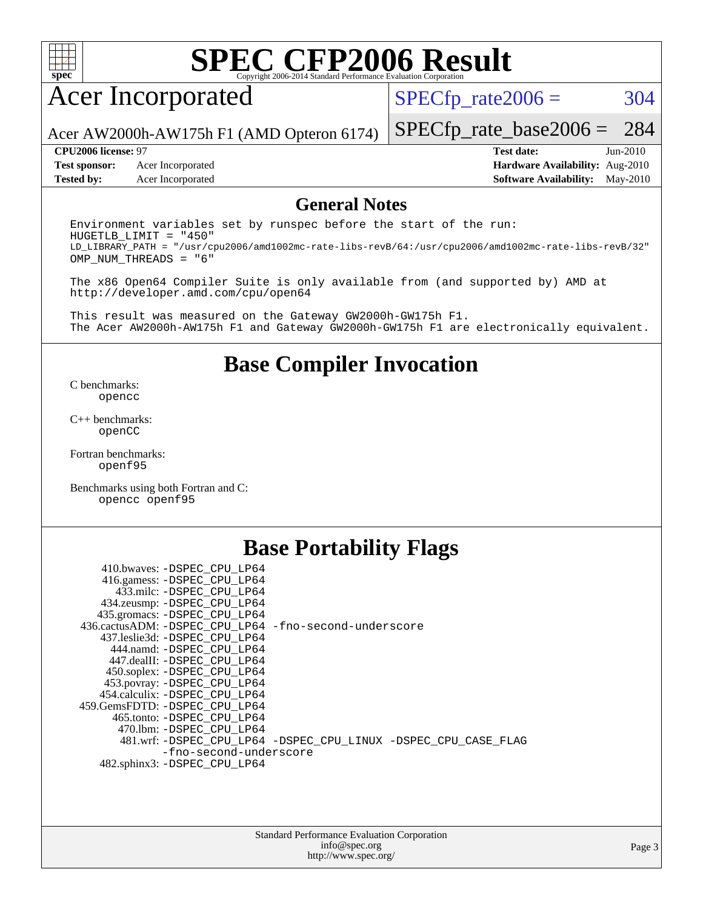

# Acer Incorporated

 $SPECTp_rate2006 = 304$ 

Acer AW2000h-AW175h F1 (AMD Opteron 6174)

[SPECfp\\_rate\\_base2006 =](http://www.spec.org/auto/cpu2006/Docs/result-fields.html#SPECfpratebase2006) 284

**[Test sponsor:](http://www.spec.org/auto/cpu2006/Docs/result-fields.html#Testsponsor)** Acer Incorporated **[Hardware Availability:](http://www.spec.org/auto/cpu2006/Docs/result-fields.html#HardwareAvailability)** Aug-2010

**[CPU2006 license:](http://www.spec.org/auto/cpu2006/Docs/result-fields.html#CPU2006license)** 97 **[Test date:](http://www.spec.org/auto/cpu2006/Docs/result-fields.html#Testdate)** Jun-2010 **[Tested by:](http://www.spec.org/auto/cpu2006/Docs/result-fields.html#Testedby)** Acer Incorporated **[Software Availability:](http://www.spec.org/auto/cpu2006/Docs/result-fields.html#SoftwareAvailability)** May-2010

#### **[General Notes](http://www.spec.org/auto/cpu2006/Docs/result-fields.html#GeneralNotes)**

Environment variables set by runspec before the start of the run: HUGETLB\_LIMIT = "450" LD\_LIBRARY\_PATH = "/usr/cpu2006/amd1002mc-rate-libs-revB/64:/usr/cpu2006/amd1002mc-rate-libs-revB/32" OMP\_NUM\_THREADS = "6"

The x86 Open64 Compiler Suite is only available from (and supported by) AMD at <http://developer.amd.com/cpu/open64>

This result was measured on the Gateway GW2000h-GW175h F1. The Acer AW2000h-AW175h F1 and Gateway GW2000h-GW175h F1 are electronically equivalent.

### **[Base Compiler Invocation](http://www.spec.org/auto/cpu2006/Docs/result-fields.html#BaseCompilerInvocation)**

[C benchmarks](http://www.spec.org/auto/cpu2006/Docs/result-fields.html#Cbenchmarks): [opencc](http://www.spec.org/cpu2006/results/res2010q3/cpu2006-20100715-12406.flags.html#user_CCbase_Fopencc)

[C++ benchmarks:](http://www.spec.org/auto/cpu2006/Docs/result-fields.html#CXXbenchmarks) [openCC](http://www.spec.org/cpu2006/results/res2010q3/cpu2006-20100715-12406.flags.html#user_CXXbase_FopenCC)

[Fortran benchmarks](http://www.spec.org/auto/cpu2006/Docs/result-fields.html#Fortranbenchmarks): [openf95](http://www.spec.org/cpu2006/results/res2010q3/cpu2006-20100715-12406.flags.html#user_FCbase_Fopenf95)

[Benchmarks using both Fortran and C](http://www.spec.org/auto/cpu2006/Docs/result-fields.html#BenchmarksusingbothFortranandC): [opencc](http://www.spec.org/cpu2006/results/res2010q3/cpu2006-20100715-12406.flags.html#user_CC_FCbase_Fopencc) [openf95](http://www.spec.org/cpu2006/results/res2010q3/cpu2006-20100715-12406.flags.html#user_CC_FCbase_Fopenf95)

### **[Base Portability Flags](http://www.spec.org/auto/cpu2006/Docs/result-fields.html#BasePortabilityFlags)**

| 410.bwaves: -DSPEC CPU LP64                           |                                                                |
|-------------------------------------------------------|----------------------------------------------------------------|
| 416.gamess: -DSPEC_CPU_LP64                           |                                                                |
| 433.milc: -DSPEC CPU LP64                             |                                                                |
| 434.zeusmp: - DSPEC_CPU_LP64                          |                                                                |
| 435.gromacs: -DSPEC CPU LP64                          |                                                                |
| 436.cactusADM: -DSPEC CPU LP64 -fno-second-underscore |                                                                |
| 437.leslie3d: -DSPEC CPU LP64                         |                                                                |
| 444.namd: - DSPEC_CPU LP64                            |                                                                |
| 447.dealII: -DSPEC CPU LP64                           |                                                                |
| 450.soplex: -DSPEC_CPU_LP64                           |                                                                |
| 453.povray: -DSPEC_CPU_LP64                           |                                                                |
| 454.calculix: - DSPEC_CPU LP64                        |                                                                |
| 459.GemsFDTD: -DSPEC_CPU_LP64                         |                                                                |
| 465.tonto: - DSPEC CPU LP64                           |                                                                |
| 470.1bm: - DSPEC CPU LP64                             |                                                                |
|                                                       | 481.wrf: -DSPEC_CPU_LP64 -DSPEC_CPU_LINUX -DSPEC_CPU_CASE_FLAG |
| -fno-second-underscore                                |                                                                |
| 482.sphinx3: -DSPEC_CPU_LP64                          |                                                                |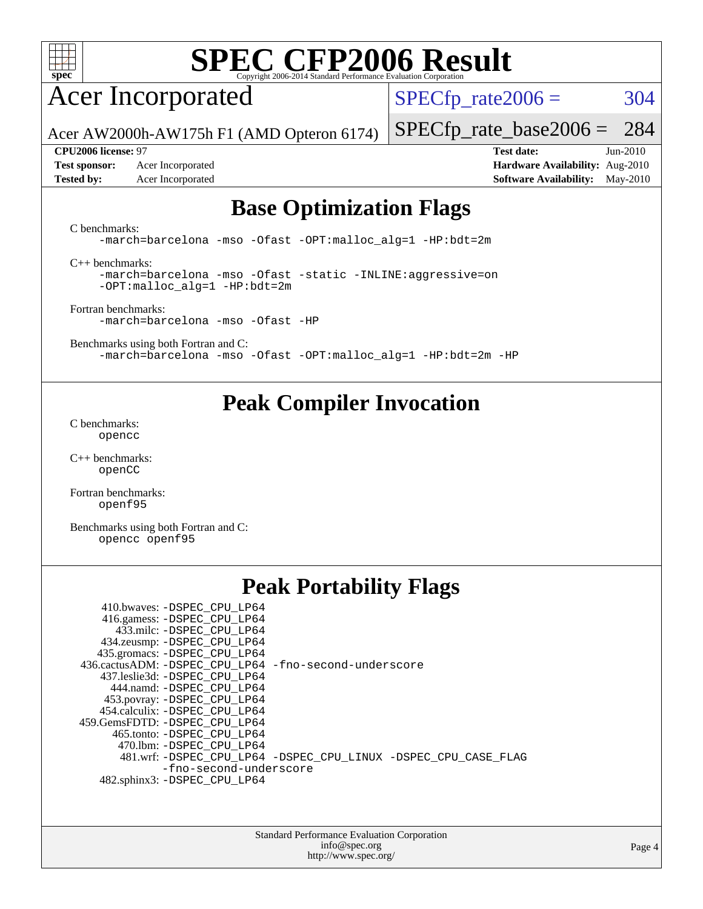

# Acer Incorporated

 $SPECTp_rate2006 = 304$ 

[SPECfp\\_rate\\_base2006 =](http://www.spec.org/auto/cpu2006/Docs/result-fields.html#SPECfpratebase2006) 284

Acer AW2000h-AW175h F1 (AMD Opteron 6174)

**[Test sponsor:](http://www.spec.org/auto/cpu2006/Docs/result-fields.html#Testsponsor)** Acer Incorporated **[Hardware Availability:](http://www.spec.org/auto/cpu2006/Docs/result-fields.html#HardwareAvailability)** Aug-2010 **[Tested by:](http://www.spec.org/auto/cpu2006/Docs/result-fields.html#Testedby)** Acer Incorporated **[Software Availability:](http://www.spec.org/auto/cpu2006/Docs/result-fields.html#SoftwareAvailability)** May-2010

**[CPU2006 license:](http://www.spec.org/auto/cpu2006/Docs/result-fields.html#CPU2006license)** 97 **[Test date:](http://www.spec.org/auto/cpu2006/Docs/result-fields.html#Testdate)** Jun-2010

### **[Base Optimization Flags](http://www.spec.org/auto/cpu2006/Docs/result-fields.html#BaseOptimizationFlags)**

[C benchmarks](http://www.spec.org/auto/cpu2006/Docs/result-fields.html#Cbenchmarks):

[-march=barcelona](http://www.spec.org/cpu2006/results/res2010q3/cpu2006-20100715-12406.flags.html#user_CCbase_F-march_8ea39521cada96f307a04d0b8b9c6ffb) [-mso](http://www.spec.org/cpu2006/results/res2010q3/cpu2006-20100715-12406.flags.html#user_CCbase_F-mso) [-Ofast](http://www.spec.org/cpu2006/results/res2010q3/cpu2006-20100715-12406.flags.html#user_CCbase_F-Ofast) [-OPT:malloc\\_alg=1](http://www.spec.org/cpu2006/results/res2010q3/cpu2006-20100715-12406.flags.html#user_CCbase_F-OPT:malloc_algorithm_58733815edefaa612c2ed769b716daa0) [-HP:bdt=2m](http://www.spec.org/cpu2006/results/res2010q3/cpu2006-20100715-12406.flags.html#user_CCbase_F-HUGEPAGE_99eaea9f74400395f9f16774d1aed5d7)

[C++ benchmarks:](http://www.spec.org/auto/cpu2006/Docs/result-fields.html#CXXbenchmarks)

[-march=barcelona](http://www.spec.org/cpu2006/results/res2010q3/cpu2006-20100715-12406.flags.html#user_CXXbase_F-march_8ea39521cada96f307a04d0b8b9c6ffb) [-mso](http://www.spec.org/cpu2006/results/res2010q3/cpu2006-20100715-12406.flags.html#user_CXXbase_F-mso) [-Ofast](http://www.spec.org/cpu2006/results/res2010q3/cpu2006-20100715-12406.flags.html#user_CXXbase_F-Ofast) [-static](http://www.spec.org/cpu2006/results/res2010q3/cpu2006-20100715-12406.flags.html#user_CXXbase_F-static) [-INLINE:aggressive=on](http://www.spec.org/cpu2006/results/res2010q3/cpu2006-20100715-12406.flags.html#user_CXXbase_F-INLINE:aggressive_e14807c0a1e56a6a83cb25ab07c7ae8a) [-OPT:malloc\\_alg=1](http://www.spec.org/cpu2006/results/res2010q3/cpu2006-20100715-12406.flags.html#user_CXXbase_F-OPT:malloc_algorithm_58733815edefaa612c2ed769b716daa0) [-HP:bdt=2m](http://www.spec.org/cpu2006/results/res2010q3/cpu2006-20100715-12406.flags.html#user_CXXbase_F-HUGEPAGE_99eaea9f74400395f9f16774d1aed5d7)

[Fortran benchmarks](http://www.spec.org/auto/cpu2006/Docs/result-fields.html#Fortranbenchmarks): [-march=barcelona](http://www.spec.org/cpu2006/results/res2010q3/cpu2006-20100715-12406.flags.html#user_FCbase_F-march_8ea39521cada96f307a04d0b8b9c6ffb) [-mso](http://www.spec.org/cpu2006/results/res2010q3/cpu2006-20100715-12406.flags.html#user_FCbase_F-mso) [-Ofast](http://www.spec.org/cpu2006/results/res2010q3/cpu2006-20100715-12406.flags.html#user_FCbase_F-Ofast) [-HP](http://www.spec.org/cpu2006/results/res2010q3/cpu2006-20100715-12406.flags.html#user_FCbase_F-HUGEPAGE_5df7ddc958063186306345596c5e7dc3)

[Benchmarks using both Fortran and C](http://www.spec.org/auto/cpu2006/Docs/result-fields.html#BenchmarksusingbothFortranandC): [-march=barcelona](http://www.spec.org/cpu2006/results/res2010q3/cpu2006-20100715-12406.flags.html#user_CC_FCbase_F-march_8ea39521cada96f307a04d0b8b9c6ffb) [-mso](http://www.spec.org/cpu2006/results/res2010q3/cpu2006-20100715-12406.flags.html#user_CC_FCbase_F-mso) [-Ofast](http://www.spec.org/cpu2006/results/res2010q3/cpu2006-20100715-12406.flags.html#user_CC_FCbase_F-Ofast) [-OPT:malloc\\_alg=1](http://www.spec.org/cpu2006/results/res2010q3/cpu2006-20100715-12406.flags.html#user_CC_FCbase_F-OPT:malloc_algorithm_58733815edefaa612c2ed769b716daa0) [-HP:bdt=2m](http://www.spec.org/cpu2006/results/res2010q3/cpu2006-20100715-12406.flags.html#user_CC_FCbase_F-HUGEPAGE_99eaea9f74400395f9f16774d1aed5d7) [-HP](http://www.spec.org/cpu2006/results/res2010q3/cpu2006-20100715-12406.flags.html#user_CC_FCbase_F-HUGEPAGE_5df7ddc958063186306345596c5e7dc3)

### **[Peak Compiler Invocation](http://www.spec.org/auto/cpu2006/Docs/result-fields.html#PeakCompilerInvocation)**

[C benchmarks](http://www.spec.org/auto/cpu2006/Docs/result-fields.html#Cbenchmarks): [opencc](http://www.spec.org/cpu2006/results/res2010q3/cpu2006-20100715-12406.flags.html#user_CCpeak_Fopencc)

[C++ benchmarks:](http://www.spec.org/auto/cpu2006/Docs/result-fields.html#CXXbenchmarks) [openCC](http://www.spec.org/cpu2006/results/res2010q3/cpu2006-20100715-12406.flags.html#user_CXXpeak_FopenCC)

[Fortran benchmarks](http://www.spec.org/auto/cpu2006/Docs/result-fields.html#Fortranbenchmarks): [openf95](http://www.spec.org/cpu2006/results/res2010q3/cpu2006-20100715-12406.flags.html#user_FCpeak_Fopenf95)

[Benchmarks using both Fortran and C](http://www.spec.org/auto/cpu2006/Docs/result-fields.html#BenchmarksusingbothFortranandC): [opencc](http://www.spec.org/cpu2006/results/res2010q3/cpu2006-20100715-12406.flags.html#user_CC_FCpeak_Fopencc) [openf95](http://www.spec.org/cpu2006/results/res2010q3/cpu2006-20100715-12406.flags.html#user_CC_FCpeak_Fopenf95)

### **[Peak Portability Flags](http://www.spec.org/auto/cpu2006/Docs/result-fields.html#PeakPortabilityFlags)**

| 410.bwaves: -DSPEC CPU LP64<br>416.gamess: - DSPEC_CPU_LP64<br>433.milc: -DSPEC CPU LP64<br>434.zeusmp: - DSPEC_CPU_LP64<br>435.gromacs: -DSPEC_CPU_LP64 |                                                                |
|----------------------------------------------------------------------------------------------------------------------------------------------------------|----------------------------------------------------------------|
| 436.cactusADM: -DSPEC CPU LP64 -fno-second-underscore                                                                                                    |                                                                |
| 437.leslie3d: -DSPEC_CPU LP64                                                                                                                            |                                                                |
| 444.namd: -DSPEC CPU LP64                                                                                                                                |                                                                |
| 453.povray: -DSPEC_CPU_LP64                                                                                                                              |                                                                |
| 454.calculix: -DSPEC CPU LP64                                                                                                                            |                                                                |
| 459.GemsFDTD: -DSPEC CPU LP64                                                                                                                            |                                                                |
| 465.tonto: - DSPEC_CPU LP64                                                                                                                              |                                                                |
| 470.1bm: -DSPEC CPU LP64                                                                                                                                 |                                                                |
|                                                                                                                                                          | 481.wrf: -DSPEC_CPU_LP64 -DSPEC_CPU_LINUX -DSPEC_CPU_CASE_FLAG |
| -fno-second-underscore                                                                                                                                   |                                                                |
| 482.sphinx3: -DSPEC CPU LP64                                                                                                                             |                                                                |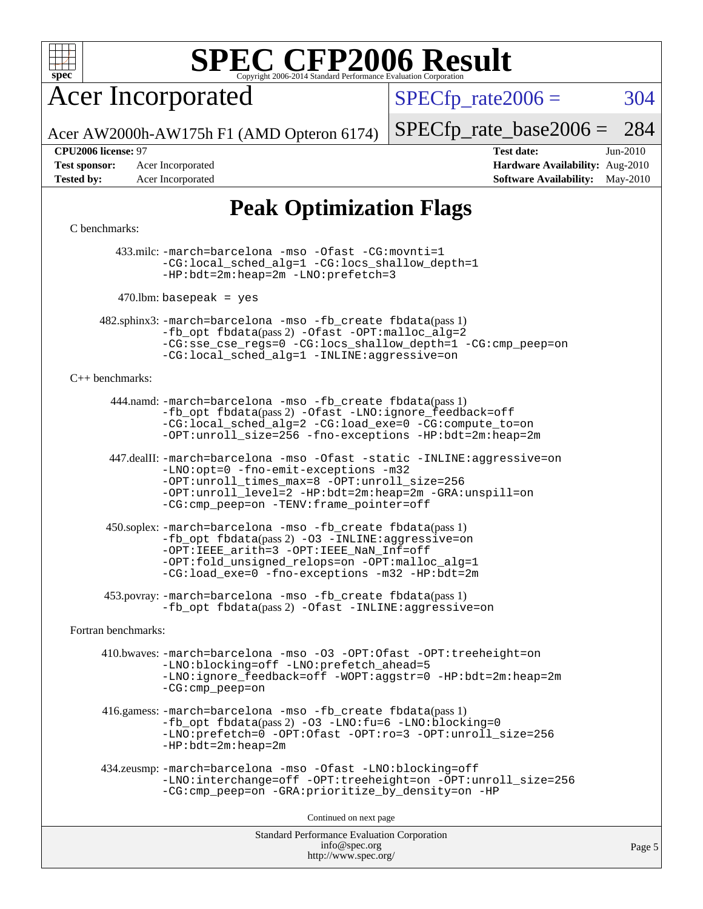

Acer Incorporated

 $SPECTp_rate2006 = 304$ 

[SPECfp\\_rate\\_base2006 =](http://www.spec.org/auto/cpu2006/Docs/result-fields.html#SPECfpratebase2006) 284

Acer AW2000h-AW175h F1 (AMD Opteron 6174)

**[Tested by:](http://www.spec.org/auto/cpu2006/Docs/result-fields.html#Testedby)** Acer Incorporated **[Software Availability:](http://www.spec.org/auto/cpu2006/Docs/result-fields.html#SoftwareAvailability)** May-2010

**[CPU2006 license:](http://www.spec.org/auto/cpu2006/Docs/result-fields.html#CPU2006license)** 97 **[Test date:](http://www.spec.org/auto/cpu2006/Docs/result-fields.html#Testdate)** Jun-2010 **[Test sponsor:](http://www.spec.org/auto/cpu2006/Docs/result-fields.html#Testsponsor)** Acer Incorporated **[Hardware Availability:](http://www.spec.org/auto/cpu2006/Docs/result-fields.html#HardwareAvailability)** Aug-2010

## **[Peak Optimization Flags](http://www.spec.org/auto/cpu2006/Docs/result-fields.html#PeakOptimizationFlags)**

[C benchmarks](http://www.spec.org/auto/cpu2006/Docs/result-fields.html#Cbenchmarks):

 433.milc: [-march=barcelona](http://www.spec.org/cpu2006/results/res2010q3/cpu2006-20100715-12406.flags.html#user_peakCCLD433_milc_F-march_8ea39521cada96f307a04d0b8b9c6ffb) [-mso](http://www.spec.org/cpu2006/results/res2010q3/cpu2006-20100715-12406.flags.html#user_peakCCLD433_milc_F-mso) [-Ofast](http://www.spec.org/cpu2006/results/res2010q3/cpu2006-20100715-12406.flags.html#user_peakCOPTIMIZE433_milc_F-Ofast) [-CG:movnti=1](http://www.spec.org/cpu2006/results/res2010q3/cpu2006-20100715-12406.flags.html#user_peakCOPTIMIZE433_milc_F-CG:movnti_c5191dc1f6da57382570e339f0143b6b) [-CG:local\\_sched\\_alg=1](http://www.spec.org/cpu2006/results/res2010q3/cpu2006-20100715-12406.flags.html#user_peakCOPTIMIZE433_milc_F-CG:local_sched_alg_2175ca61f1a2717f1ec57b14995b9e7a) [-CG:locs\\_shallow\\_depth=1](http://www.spec.org/cpu2006/results/res2010q3/cpu2006-20100715-12406.flags.html#user_peakCOPTIMIZE433_milc_F-CG:locs_shallow_depth_ec0a53d3def1c53dcd5985fc16cc23f2) [-HP:bdt=2m:heap=2m](http://www.spec.org/cpu2006/results/res2010q3/cpu2006-20100715-12406.flags.html#user_peakCOPTIMIZE433_milc_F-HUGEPAGE_855e97383b49831f390a2af16fe7202f) [-LNO:prefetch=3](http://www.spec.org/cpu2006/results/res2010q3/cpu2006-20100715-12406.flags.html#user_peakCOPTIMIZE433_milc_F-LNO:prefetch_73b5a9400a8f80d6e23f06aa34f07c5f)

 $470$ .lbm: basepeak = yes

 482.sphinx3: [-march=barcelona](http://www.spec.org/cpu2006/results/res2010q3/cpu2006-20100715-12406.flags.html#user_peakCCLD482_sphinx3_F-march_8ea39521cada96f307a04d0b8b9c6ffb) [-mso](http://www.spec.org/cpu2006/results/res2010q3/cpu2006-20100715-12406.flags.html#user_peakCCLD482_sphinx3_F-mso) [-fb\\_create fbdata](http://www.spec.org/cpu2006/results/res2010q3/cpu2006-20100715-12406.flags.html#user_peakPASS1_CFLAGSPASS1_LDFLAGS482_sphinx3_F-fb_create_filename)(pass 1) [-fb\\_opt fbdata](http://www.spec.org/cpu2006/results/res2010q3/cpu2006-20100715-12406.flags.html#user_peakPASS2_CFLAGSPASS2_LDFLAGS482_sphinx3_F-fb_opt_filename)(pass 2) [-Ofast](http://www.spec.org/cpu2006/results/res2010q3/cpu2006-20100715-12406.flags.html#user_peakCOPTIMIZE482_sphinx3_F-Ofast) [-OPT:malloc\\_alg=2](http://www.spec.org/cpu2006/results/res2010q3/cpu2006-20100715-12406.flags.html#user_peakCOPTIMIZE482_sphinx3_F-OPT:malloc_algorithm_e62903d0840423b2a5cd674766328c33) [-CG:sse\\_cse\\_regs=0](http://www.spec.org/cpu2006/results/res2010q3/cpu2006-20100715-12406.flags.html#user_peakCOPTIMIZE482_sphinx3_F-CG:sse_cse_regs_7df8d7006fcaae90aa34e4c541216ae1) [-CG:locs\\_shallow\\_depth=1](http://www.spec.org/cpu2006/results/res2010q3/cpu2006-20100715-12406.flags.html#user_peakCOPTIMIZE482_sphinx3_F-CG:locs_shallow_depth_ec0a53d3def1c53dcd5985fc16cc23f2) [-CG:cmp\\_peep=on](http://www.spec.org/cpu2006/results/res2010q3/cpu2006-20100715-12406.flags.html#user_peakCOPTIMIZE482_sphinx3_F-CG:cmp_peep_ab90c979e95bee1f1f617a32622424ed) [-CG:local\\_sched\\_alg=1](http://www.spec.org/cpu2006/results/res2010q3/cpu2006-20100715-12406.flags.html#user_peakCOPTIMIZE482_sphinx3_F-CG:local_sched_alg_2175ca61f1a2717f1ec57b14995b9e7a) [-INLINE:aggressive=on](http://www.spec.org/cpu2006/results/res2010q3/cpu2006-20100715-12406.flags.html#user_peakCOPTIMIZE482_sphinx3_F-INLINE:aggressive_e14807c0a1e56a6a83cb25ab07c7ae8a)

[C++ benchmarks:](http://www.spec.org/auto/cpu2006/Docs/result-fields.html#CXXbenchmarks)

 444.namd: [-march=barcelona](http://www.spec.org/cpu2006/results/res2010q3/cpu2006-20100715-12406.flags.html#user_peakCXXLD444_namd_F-march_8ea39521cada96f307a04d0b8b9c6ffb) [-mso](http://www.spec.org/cpu2006/results/res2010q3/cpu2006-20100715-12406.flags.html#user_peakCXXLD444_namd_F-mso) [-fb\\_create fbdata](http://www.spec.org/cpu2006/results/res2010q3/cpu2006-20100715-12406.flags.html#user_peakPASS1_CXXFLAGSPASS1_LDFLAGS444_namd_F-fb_create_filename)(pass 1) [-fb\\_opt fbdata](http://www.spec.org/cpu2006/results/res2010q3/cpu2006-20100715-12406.flags.html#user_peakPASS2_CXXFLAGSPASS2_LDFLAGS444_namd_F-fb_opt_filename)(pass 2) [-Ofast](http://www.spec.org/cpu2006/results/res2010q3/cpu2006-20100715-12406.flags.html#user_peakCXXOPTIMIZE444_namd_F-Ofast) [-LNO:ignore\\_feedback=off](http://www.spec.org/cpu2006/results/res2010q3/cpu2006-20100715-12406.flags.html#user_peakCXXOPTIMIZE444_namd_F-LNO:ignore_feedback_1d6d06f39185b277a955c10dfd0a9a73) [-CG:local\\_sched\\_alg=2](http://www.spec.org/cpu2006/results/res2010q3/cpu2006-20100715-12406.flags.html#user_peakCXXOPTIMIZE444_namd_F-CG:local_sched_alg_7e9cde87db6e5e7117cdd873e1f958ca) [-CG:load\\_exe=0](http://www.spec.org/cpu2006/results/res2010q3/cpu2006-20100715-12406.flags.html#user_peakCXXOPTIMIZE444_namd_F-CG:load_exe_274d025dc8e91b4834366e9e44cd78e3) [-CG:compute\\_to=on](http://www.spec.org/cpu2006/results/res2010q3/cpu2006-20100715-12406.flags.html#user_peakCXXOPTIMIZE444_namd_F-CG:compute_to_596c30b399a79f0675b006ae34a185eb) [-OPT:unroll\\_size=256](http://www.spec.org/cpu2006/results/res2010q3/cpu2006-20100715-12406.flags.html#user_peakCXXOPTIMIZE444_namd_F-OPT:unroll_size_dfa492f42f50f580c3837c8b22d14f27) [-fno-exceptions](http://www.spec.org/cpu2006/results/res2010q3/cpu2006-20100715-12406.flags.html#user_peakCXXOPTIMIZE444_namd_F-fexceptions) [-HP:bdt=2m:heap=2m](http://www.spec.org/cpu2006/results/res2010q3/cpu2006-20100715-12406.flags.html#user_peakCXXOPTIMIZE444_namd_F-HUGEPAGE_855e97383b49831f390a2af16fe7202f)

 447.dealII: [-march=barcelona](http://www.spec.org/cpu2006/results/res2010q3/cpu2006-20100715-12406.flags.html#user_peakCXXLD447_dealII_F-march_8ea39521cada96f307a04d0b8b9c6ffb) [-mso](http://www.spec.org/cpu2006/results/res2010q3/cpu2006-20100715-12406.flags.html#user_peakCXXLD447_dealII_F-mso) [-Ofast](http://www.spec.org/cpu2006/results/res2010q3/cpu2006-20100715-12406.flags.html#user_peakCXXOPTIMIZE447_dealII_F-Ofast) [-static](http://www.spec.org/cpu2006/results/res2010q3/cpu2006-20100715-12406.flags.html#user_peakCXXOPTIMIZE447_dealII_F-static) [-INLINE:aggressive=on](http://www.spec.org/cpu2006/results/res2010q3/cpu2006-20100715-12406.flags.html#user_peakCXXOPTIMIZE447_dealII_F-INLINE:aggressive_e14807c0a1e56a6a83cb25ab07c7ae8a) [-LNO:opt=0](http://www.spec.org/cpu2006/results/res2010q3/cpu2006-20100715-12406.flags.html#user_peakCXXOPTIMIZE447_dealII_F-LNO:opt_b91e8b13d06f45039299c6496cc69a5f) [-fno-emit-exceptions](http://www.spec.org/cpu2006/results/res2010q3/cpu2006-20100715-12406.flags.html#user_peakCXXOPTIMIZE447_dealII_F-fno-emit-exceptions) [-m32](http://www.spec.org/cpu2006/results/res2010q3/cpu2006-20100715-12406.flags.html#user_peakCXXOPTIMIZE447_dealII_F-m32) [-OPT:unroll\\_times\\_max=8](http://www.spec.org/cpu2006/results/res2010q3/cpu2006-20100715-12406.flags.html#user_peakCXXOPTIMIZE447_dealII_F-OPT:unroll_times_max_1ad8852298ca2c36a68b2d007aae0e22) [-OPT:unroll\\_size=256](http://www.spec.org/cpu2006/results/res2010q3/cpu2006-20100715-12406.flags.html#user_peakCXXOPTIMIZE447_dealII_F-OPT:unroll_size_dfa492f42f50f580c3837c8b22d14f27) [-OPT:unroll\\_level=2](http://www.spec.org/cpu2006/results/res2010q3/cpu2006-20100715-12406.flags.html#user_peakCXXOPTIMIZE447_dealII_F-OPT:unroll_level_2cd767e66711a193dd7aad8ffe1e4d20) [-HP:bdt=2m:heap=2m](http://www.spec.org/cpu2006/results/res2010q3/cpu2006-20100715-12406.flags.html#user_peakCXXOPTIMIZE447_dealII_F-HUGEPAGE_855e97383b49831f390a2af16fe7202f) [-GRA:unspill=on](http://www.spec.org/cpu2006/results/res2010q3/cpu2006-20100715-12406.flags.html#user_peakCXXOPTIMIZE447_dealII_F-GRA:unspill_1a6c98043856890311246be72b057593) [-CG:cmp\\_peep=on](http://www.spec.org/cpu2006/results/res2010q3/cpu2006-20100715-12406.flags.html#user_peakCXXOPTIMIZE447_dealII_F-CG:cmp_peep_ab90c979e95bee1f1f617a32622424ed) [-TENV:frame\\_pointer=off](http://www.spec.org/cpu2006/results/res2010q3/cpu2006-20100715-12406.flags.html#user_peakCXXOPTIMIZE447_dealII_F-TENV:frame_pointer_2e92068e13bfe2cecb58286df627594f)

 450.soplex: [-march=barcelona](http://www.spec.org/cpu2006/results/res2010q3/cpu2006-20100715-12406.flags.html#user_peakCXXLD450_soplex_F-march_8ea39521cada96f307a04d0b8b9c6ffb) [-mso](http://www.spec.org/cpu2006/results/res2010q3/cpu2006-20100715-12406.flags.html#user_peakCXXLD450_soplex_F-mso) [-fb\\_create fbdata](http://www.spec.org/cpu2006/results/res2010q3/cpu2006-20100715-12406.flags.html#user_peakPASS1_CXXFLAGSPASS1_LDFLAGS450_soplex_F-fb_create_filename)(pass 1)  $-fb$  opt fbdata(pass 2) [-O3](http://www.spec.org/cpu2006/results/res2010q3/cpu2006-20100715-12406.flags.html#user_peakCXXOPTIMIZE450_soplex_F-O3) [-INLINE:aggressive=on](http://www.spec.org/cpu2006/results/res2010q3/cpu2006-20100715-12406.flags.html#user_peakCXXOPTIMIZE450_soplex_F-INLINE:aggressive_e14807c0a1e56a6a83cb25ab07c7ae8a) [-OPT:IEEE\\_arith=3](http://www.spec.org/cpu2006/results/res2010q3/cpu2006-20100715-12406.flags.html#user_peakCXXOPTIMIZE450_soplex_F-OPT:IEEE_arith_deed7f378bba536bb15e5525c2cfff5d) [-OPT:IEEE\\_NaN\\_Inf=off](http://www.spec.org/cpu2006/results/res2010q3/cpu2006-20100715-12406.flags.html#user_peakCXXOPTIMIZE450_soplex_F-OPT:IEEE_NaN_Inf_a80561cd0dc061d93d55cc50467065f5) [-OPT:fold\\_unsigned\\_relops=on](http://www.spec.org/cpu2006/results/res2010q3/cpu2006-20100715-12406.flags.html#user_peakCXXOPTIMIZE450_soplex_F-OPT:fold_unsigned_relops_3472896f4df6f05453f457c244d9ad64) [-OPT:malloc\\_alg=1](http://www.spec.org/cpu2006/results/res2010q3/cpu2006-20100715-12406.flags.html#user_peakCXXOPTIMIZE450_soplex_F-OPT:malloc_algorithm_58733815edefaa612c2ed769b716daa0) [-CG:load\\_exe=0](http://www.spec.org/cpu2006/results/res2010q3/cpu2006-20100715-12406.flags.html#user_peakCXXOPTIMIZE450_soplex_F-CG:load_exe_274d025dc8e91b4834366e9e44cd78e3) [-fno-exceptions](http://www.spec.org/cpu2006/results/res2010q3/cpu2006-20100715-12406.flags.html#user_peakCXXOPTIMIZE450_soplex_F-fexceptions) [-m32](http://www.spec.org/cpu2006/results/res2010q3/cpu2006-20100715-12406.flags.html#user_peakCXXOPTIMIZE450_soplex_F-m32) [-HP:bdt=2m](http://www.spec.org/cpu2006/results/res2010q3/cpu2006-20100715-12406.flags.html#user_peakCXXOPTIMIZE450_soplex_F-HUGEPAGE_99eaea9f74400395f9f16774d1aed5d7)

 453.povray: [-march=barcelona](http://www.spec.org/cpu2006/results/res2010q3/cpu2006-20100715-12406.flags.html#user_peakCXXLD453_povray_F-march_8ea39521cada96f307a04d0b8b9c6ffb) [-mso](http://www.spec.org/cpu2006/results/res2010q3/cpu2006-20100715-12406.flags.html#user_peakCXXLD453_povray_F-mso) [-fb\\_create fbdata](http://www.spec.org/cpu2006/results/res2010q3/cpu2006-20100715-12406.flags.html#user_peakPASS1_CXXFLAGSPASS1_LDFLAGS453_povray_F-fb_create_filename)(pass 1) -fb opt fbdata(pass 2) [-Ofast](http://www.spec.org/cpu2006/results/res2010q3/cpu2006-20100715-12406.flags.html#user_peakCXXOPTIMIZE453_povray_F-Ofast) [-INLINE:aggressive=on](http://www.spec.org/cpu2006/results/res2010q3/cpu2006-20100715-12406.flags.html#user_peakCXXOPTIMIZE453_povray_F-INLINE:aggressive_e14807c0a1e56a6a83cb25ab07c7ae8a)

[Fortran benchmarks](http://www.spec.org/auto/cpu2006/Docs/result-fields.html#Fortranbenchmarks):

 410.bwaves: [-march=barcelona](http://www.spec.org/cpu2006/results/res2010q3/cpu2006-20100715-12406.flags.html#user_peakFCLD410_bwaves_F-march_8ea39521cada96f307a04d0b8b9c6ffb) [-mso](http://www.spec.org/cpu2006/results/res2010q3/cpu2006-20100715-12406.flags.html#user_peakFCLD410_bwaves_F-mso) [-O3](http://www.spec.org/cpu2006/results/res2010q3/cpu2006-20100715-12406.flags.html#user_peakFOPTIMIZE410_bwaves_F-O3) [-OPT:Ofast](http://www.spec.org/cpu2006/results/res2010q3/cpu2006-20100715-12406.flags.html#user_peakFOPTIMIZE410_bwaves_F-OPT:Ofast) [-OPT:treeheight=on](http://www.spec.org/cpu2006/results/res2010q3/cpu2006-20100715-12406.flags.html#user_peakFOPTIMIZE410_bwaves_F-OPT:treeheight_cfc70e9aefb9f92101ba198ff7377f7c) [-LNO:blocking=off](http://www.spec.org/cpu2006/results/res2010q3/cpu2006-20100715-12406.flags.html#user_peakFOPTIMIZE410_bwaves_F-LNO:blocking_806f5758a3ec85ed57cd5625787129f2) [-LNO:prefetch\\_ahead=5](http://www.spec.org/cpu2006/results/res2010q3/cpu2006-20100715-12406.flags.html#user_peakFOPTIMIZE410_bwaves_F-LNO:prefetch_ahead_c59c70d489a430be6e6f849be2b84ce8) [-LNO:ignore\\_feedback=off](http://www.spec.org/cpu2006/results/res2010q3/cpu2006-20100715-12406.flags.html#user_peakFOPTIMIZE410_bwaves_F-LNO:ignore_feedback_1d6d06f39185b277a955c10dfd0a9a73) [-WOPT:aggstr=0](http://www.spec.org/cpu2006/results/res2010q3/cpu2006-20100715-12406.flags.html#user_peakFOPTIMIZE410_bwaves_F-WOPT:aggstr_e9f678663e612582e440992a3901d0b4) [-HP:bdt=2m:heap=2m](http://www.spec.org/cpu2006/results/res2010q3/cpu2006-20100715-12406.flags.html#user_peakFOPTIMIZE410_bwaves_F-HUGEPAGE_855e97383b49831f390a2af16fe7202f) [-CG:cmp\\_peep=on](http://www.spec.org/cpu2006/results/res2010q3/cpu2006-20100715-12406.flags.html#user_peakFOPTIMIZE410_bwaves_F-CG:cmp_peep_ab90c979e95bee1f1f617a32622424ed)

 416.gamess: [-march=barcelona](http://www.spec.org/cpu2006/results/res2010q3/cpu2006-20100715-12406.flags.html#user_peakFCLD416_gamess_F-march_8ea39521cada96f307a04d0b8b9c6ffb) [-mso](http://www.spec.org/cpu2006/results/res2010q3/cpu2006-20100715-12406.flags.html#user_peakFCLD416_gamess_F-mso) [-fb\\_create fbdata](http://www.spec.org/cpu2006/results/res2010q3/cpu2006-20100715-12406.flags.html#user_peakPASS1_FFLAGSPASS1_LDFLAGS416_gamess_F-fb_create_filename)(pass 1) [-fb\\_opt fbdata](http://www.spec.org/cpu2006/results/res2010q3/cpu2006-20100715-12406.flags.html#user_peakPASS2_FFLAGSPASS2_LDFLAGS416_gamess_F-fb_opt_filename)(pass 2) [-O3](http://www.spec.org/cpu2006/results/res2010q3/cpu2006-20100715-12406.flags.html#user_peakFOPTIMIZE416_gamess_F-O3) [-LNO:fu=6](http://www.spec.org/cpu2006/results/res2010q3/cpu2006-20100715-12406.flags.html#user_peakFOPTIMIZE416_gamess_F-LNO:full_unroll_3286c2d175e5cd3c391f9ebb1917057c) [-LNO:blocking=0](http://www.spec.org/cpu2006/results/res2010q3/cpu2006-20100715-12406.flags.html#user_peakFOPTIMIZE416_gamess_F-LNO:blocking_f05bf6a7a6c1d0fdc72c448778ff5994) [-LNO:prefetch=0](http://www.spec.org/cpu2006/results/res2010q3/cpu2006-20100715-12406.flags.html#user_peakFOPTIMIZE416_gamess_F-LNO:prefetch_697fbd9f9feab3edac5397fc7beec995) [-OPT:Ofast](http://www.spec.org/cpu2006/results/res2010q3/cpu2006-20100715-12406.flags.html#user_peakFOPTIMIZE416_gamess_F-OPT:Ofast) [-OPT:ro=3](http://www.spec.org/cpu2006/results/res2010q3/cpu2006-20100715-12406.flags.html#user_peakFOPTIMIZE416_gamess_F-OPT:ro_df424ac2b688fef46f512566ef2e1c44) [-OPT:unroll\\_size=256](http://www.spec.org/cpu2006/results/res2010q3/cpu2006-20100715-12406.flags.html#user_peakFOPTIMIZE416_gamess_F-OPT:unroll_size_dfa492f42f50f580c3837c8b22d14f27) [-HP:bdt=2m:heap=2m](http://www.spec.org/cpu2006/results/res2010q3/cpu2006-20100715-12406.flags.html#user_peakFOPTIMIZE416_gamess_F-HUGEPAGE_855e97383b49831f390a2af16fe7202f)

```
 434.zeusmp: -march=barcelona -mso -Ofast -LNO:blocking=off
-LNO:interchange=off -OPT:treeheight=on -OPT:unroll_size=256
-CG:cmp_peep=on -GRA:prioritize_by_density=on -HP
```
Continued on next page